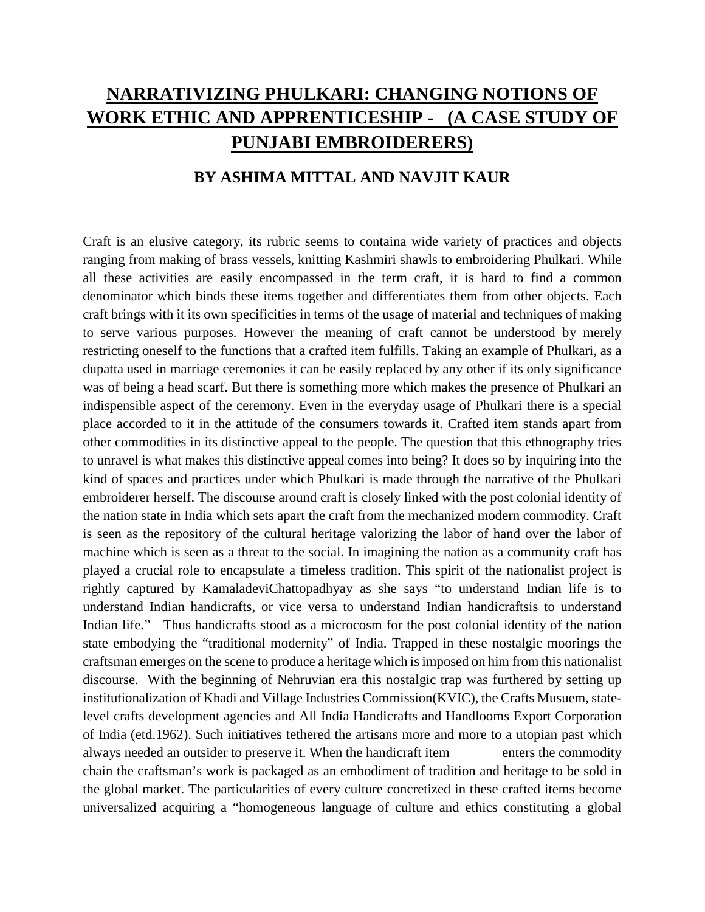# **NARRATIVIZING PHULKARI: CHANGING NOTIONS OF WORK ETHIC AND APPRENTICESHIP** - **(A CASE STUDY OF PUNJABI EMBROIDERERS)**

# **BY ASHIMA MITTAL AND NAVJIT KAUR**

Craft is an elusive category, its rubric seems to containa wide variety of practices and objects ranging from making of brass vessels, knitting Kashmiri shawls to embroidering Phulkari. While all these activities are easily encompassed in the term craft, it is hard to find a common denominator which binds these items together and differentiates them from other objects. Each craft brings with it its own specificities in terms of the usage of material and techniques of making to serve various purposes. However the meaning of craft cannot be understood by merely restricting oneself to the functions that a crafted item fulfills. Taking an example of Phulkari, as a dupatta used in marriage ceremonies it can be easily replaced by any other if its only significance was of being a head scarf. But there is something more which makes the presence of Phulkari an indispensible aspect of the ceremony. Even in the everyday usage of Phulkari there is a special place accorded to it in the attitude of the consumers towards it. Crafted item stands apart from other commodities in its distinctive appeal to the people. The question that this ethnography tries to unravel is what makes this distinctive appeal comes into being? It does so by inquiring into the kind of spaces and practices under which Phulkari is made through the narrative of the Phulkari embroiderer herself. The discourse around craft is closely linked with the post colonial identity of the nation state in India which sets apart the craft from the mechanized modern commodity. Craft is seen as the repository of the cultural heritage valorizing the labor of hand over the labor of machine which is seen as a threat to the social. In imagining the nation as a community craft has played a crucial role to encapsulate a timeless tradition. This spirit of the nationalist project is rightly captured by KamaladeviChattopadhyay as she says "to understand Indian life is to understand Indian handicrafts, or vice versa to understand Indian handicraftsis to understand Indian life." Thus handicrafts stood as a microcosm for the post colonial identity of the nation state embodying the "traditional modernity" of India. Trapped in these nostalgic moorings the craftsman emerges on the scene to produce a heritage which isimposed on him from this nationalist discourse. With the beginning of Nehruvian era this nostalgic trap was furthered by setting up institutionalization of Khadi and Village Industries Commission(KVIC), the Crafts Musuem, statelevel crafts development agencies and All India Handicrafts and Handlooms Export Corporation of India (etd.1962). Such initiatives tethered the artisans more and more to a utopian past which always needed an outsider to preserve it. When the handicraft item enters the commodity chain the craftsman's work is packaged as an embodiment of tradition and heritage to be sold in the global market. The particularities of every culture concretized in these crafted items become universalized acquiring a "homogeneous language of culture and ethics constituting a global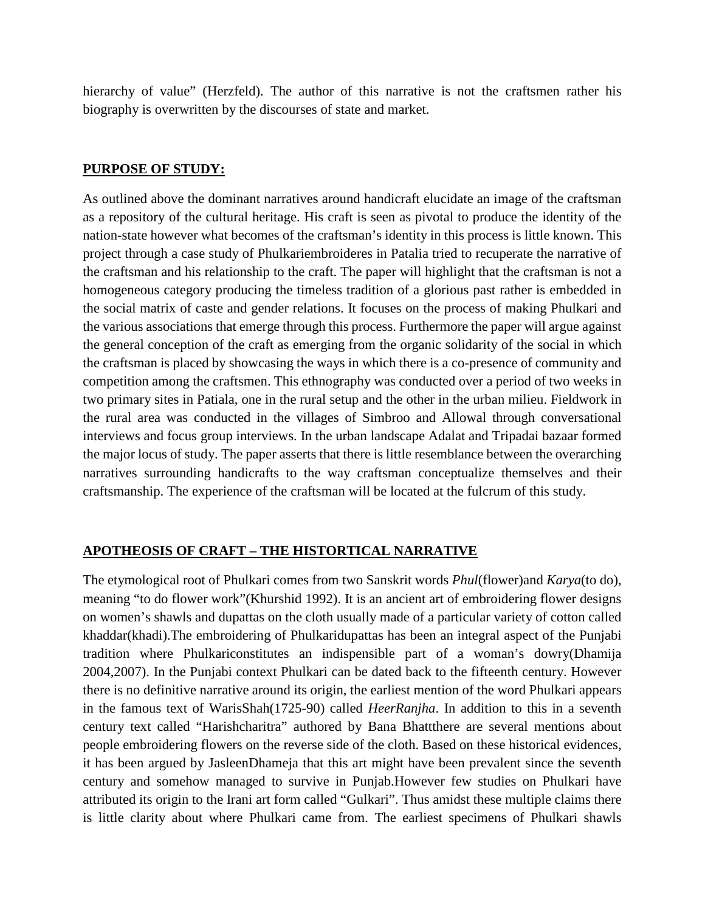hierarchy of value" (Herzfeld). The author of this narrative is not the craftsmen rather his biography is overwritten by the discourses of state and market.

#### **PURPOSE OF STUDY:**

As outlined above the dominant narratives around handicraft elucidate an image of the craftsman as a repository of the cultural heritage. His craft is seen as pivotal to produce the identity of the nation-state however what becomes of the craftsman's identity in this process is little known. This project through a case study of Phulkariembroideres in Patalia tried to recuperate the narrative of the craftsman and his relationship to the craft. The paper will highlight that the craftsman is not a homogeneous category producing the timeless tradition of a glorious past rather is embedded in the social matrix of caste and gender relations. It focuses on the process of making Phulkari and the various associations that emerge through this process. Furthermore the paper will argue against the general conception of the craft as emerging from the organic solidarity of the social in which the craftsman is placed by showcasing the ways in which there is a co-presence of community and competition among the craftsmen. This ethnography was conducted over a period of two weeks in two primary sites in Patiala, one in the rural setup and the other in the urban milieu. Fieldwork in the rural area was conducted in the villages of Simbroo and Allowal through conversational interviews and focus group interviews. In the urban landscape Adalat and Tripadai bazaar formed the major locus of study. The paper asserts that there is little resemblance between the overarching narratives surrounding handicrafts to the way craftsman conceptualize themselves and their craftsmanship. The experience of the craftsman will be located at the fulcrum of this study.

## **APOTHEOSIS OF CRAFT – THE HISTORTICAL NARRATIVE**

The etymological root of Phulkari comes from two Sanskrit words *Phul*(flower)and *Karya*(to do), meaning "to do flower work"(Khurshid 1992). It is an ancient art of embroidering flower designs on women's shawls and dupattas on the cloth usually made of a particular variety of cotton called khaddar(khadi).The embroidering of Phulkaridupattas has been an integral aspect of the Punjabi tradition where Phulkariconstitutes an indispensible part of a woman's dowry(Dhamija 2004,2007). In the Punjabi context Phulkari can be dated back to the fifteenth century. However there is no definitive narrative around its origin, the earliest mention of the word Phulkari appears in the famous text of WarisShah(1725-90) called *HeerRanjha*. In addition to this in a seventh century text called "Harishcharitra" authored by Bana Bhattthere are several mentions about people embroidering flowers on the reverse side of the cloth. Based on these historical evidences, it has been argued by JasleenDhameja that this art might have been prevalent since the seventh century and somehow managed to survive in Punjab.However few studies on Phulkari have attributed its origin to the Irani art form called "Gulkari". Thus amidst these multiple claims there is little clarity about where Phulkari came from. The earliest specimens of Phulkari shawls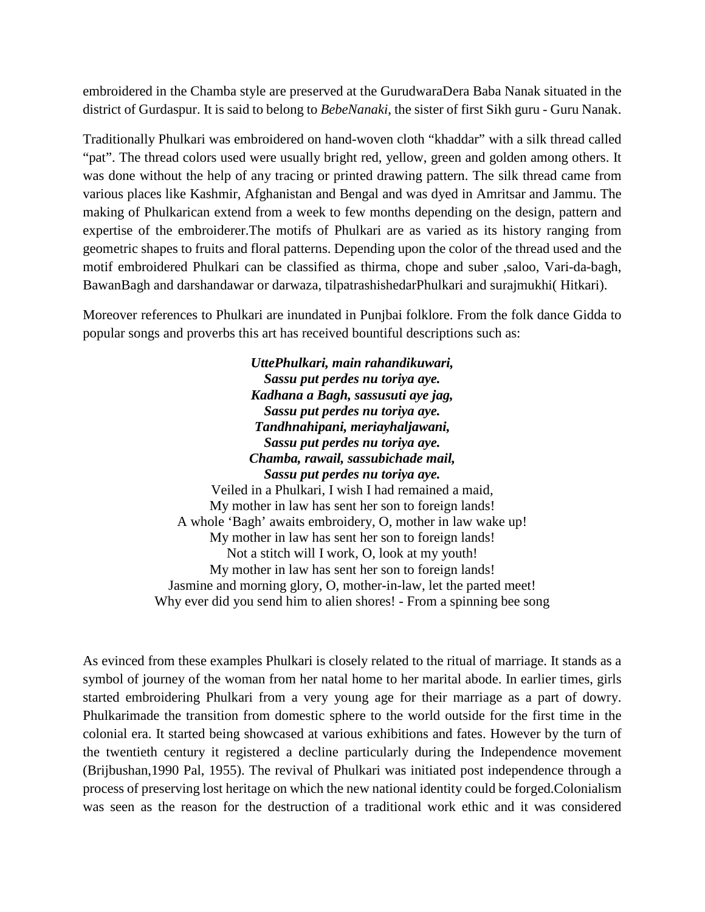embroidered in the Chamba style are preserved at the GurudwaraDera Baba Nanak situated in the district of Gurdaspur. It is said to belong to *BebeNanaki*, the sister of first Sikh guru - Guru Nanak.

Traditionally Phulkari was embroidered on hand-woven cloth "khaddar" with a silk thread called "pat". The thread colors used were usually bright red, yellow, green and golden among others. It was done without the help of any tracing or printed drawing pattern. The silk thread came from various places like Kashmir, Afghanistan and Bengal and was dyed in Amritsar and Jammu. The making of Phulkarican extend from a week to few months depending on the design, pattern and expertise of the embroiderer.The motifs of Phulkari are as varied as its history ranging from geometric shapes to fruits and floral patterns. Depending upon the color of the thread used and the motif embroidered Phulkari can be classified as thirma, chope and suber ,saloo, Vari-da-bagh, BawanBagh and darshandawar or darwaza, tilpatrashishedarPhulkari and surajmukhi( Hitkari).

Moreover references to Phulkari are inundated in Punjbai folklore. From the folk dance Gidda to popular songs and proverbs this art has received bountiful descriptions such as:

> *UttePhulkari, main rahandikuwari, Sassu put perdes nu toriya aye. Kadhana a Bagh, sassusuti aye jag, Sassu put perdes nu toriya aye. Tandhnahipani, meriayhaljawani, Sassu put perdes nu toriya aye. Chamba, rawail, sassubichade mail, Sassu put perdes nu toriya aye.* Veiled in a Phulkari, I wish I had remained a maid, My mother in law has sent her son to foreign lands! A whole 'Bagh' awaits embroidery, O, mother in law wake up! My mother in law has sent her son to foreign lands! Not a stitch will I work, O, look at my youth!

My mother in law has sent her son to foreign lands! Jasmine and morning glory, O, mother-in-law, let the parted meet! Why ever did you send him to alien shores! - From a spinning bee song

As evinced from these examples Phulkari is closely related to the ritual of marriage. It stands as a symbol of journey of the woman from her natal home to her marital abode. In earlier times, girls started embroidering Phulkari from a very young age for their marriage as a part of dowry. Phulkarimade the transition from domestic sphere to the world outside for the first time in the colonial era. It started being showcased at various exhibitions and fates. However by the turn of the twentieth century it registered a decline particularly during the Independence movement (Brijbushan,1990 Pal, 1955). The revival of Phulkari was initiated post independence through a process of preserving lost heritage on which the new national identity could be forged.Colonialism was seen as the reason for the destruction of a traditional work ethic and it was considered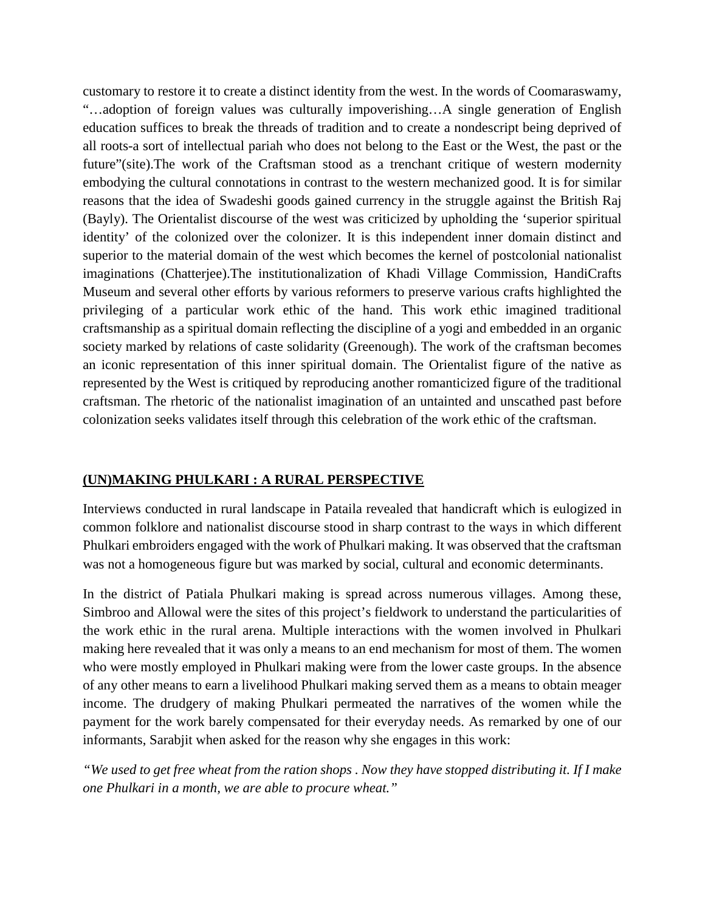customary to restore it to create a distinct identity from the west. In the words of Coomaraswamy, "…adoption of foreign values was culturally impoverishing…A single generation of English education suffices to break the threads of tradition and to create a nondescript being deprived of all roots-a sort of intellectual pariah who does not belong to the East or the West, the past or the future"(site).The work of the Craftsman stood as a trenchant critique of western modernity embodying the cultural connotations in contrast to the western mechanized good. It is for similar reasons that the idea of Swadeshi goods gained currency in the struggle against the British Raj (Bayly). The Orientalist discourse of the west was criticized by upholding the 'superior spiritual identity' of the colonized over the colonizer. It is this independent inner domain distinct and superior to the material domain of the west which becomes the kernel of postcolonial nationalist imaginations (Chatterjee).The institutionalization of Khadi Village Commission, HandiCrafts Museum and several other efforts by various reformers to preserve various crafts highlighted the privileging of a particular work ethic of the hand. This work ethic imagined traditional craftsmanship as a spiritual domain reflecting the discipline of a yogi and embedded in an organic society marked by relations of caste solidarity (Greenough). The work of the craftsman becomes an iconic representation of this inner spiritual domain. The Orientalist figure of the native as represented by the West is critiqued by reproducing another romanticized figure of the traditional craftsman. The rhetoric of the nationalist imagination of an untainted and unscathed past before colonization seeks validates itself through this celebration of the work ethic of the craftsman.

#### **(UN)MAKING PHULKARI : A RURAL PERSPECTIVE**

Interviews conducted in rural landscape in Pataila revealed that handicraft which is eulogized in common folklore and nationalist discourse stood in sharp contrast to the ways in which different Phulkari embroiders engaged with the work of Phulkari making. It was observed that the craftsman was not a homogeneous figure but was marked by social, cultural and economic determinants.

In the district of Patiala Phulkari making is spread across numerous villages. Among these, Simbroo and Allowal were the sites of this project's fieldwork to understand the particularities of the work ethic in the rural arena. Multiple interactions with the women involved in Phulkari making here revealed that it was only a means to an end mechanism for most of them. The women who were mostly employed in Phulkari making were from the lower caste groups. In the absence of any other means to earn a livelihood Phulkari making served them as a means to obtain meager income. The drudgery of making Phulkari permeated the narratives of the women while the payment for the work barely compensated for their everyday needs. As remarked by one of our informants, Sarabjit when asked for the reason why she engages in this work:

*"We used to get free wheat from the ration shops . Now they have stopped distributing it. If I make one Phulkari in a month, we are able to procure wheat."*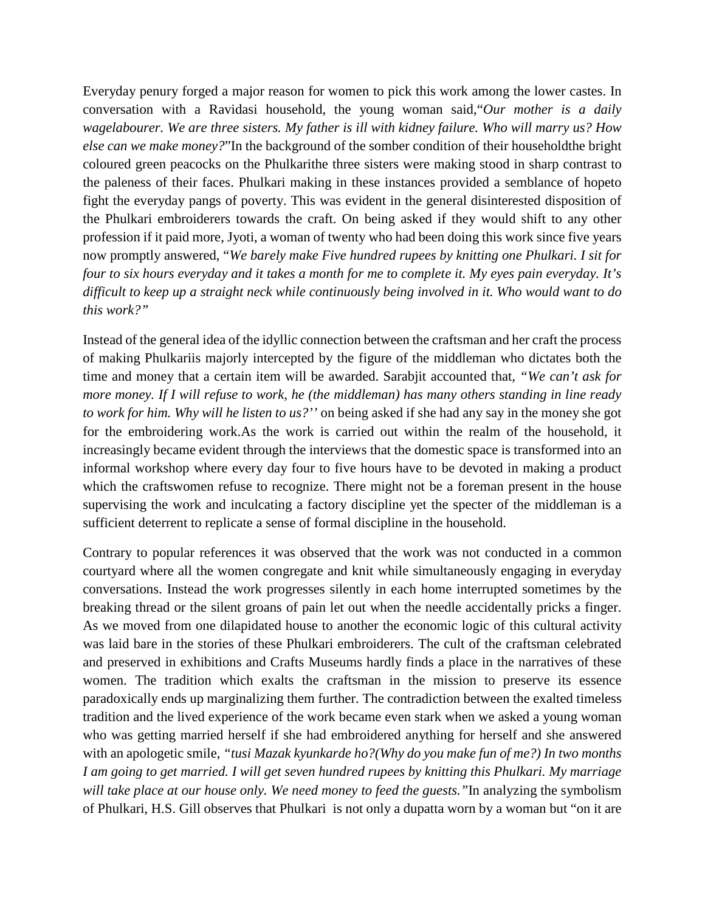Everyday penury forged a major reason for women to pick this work among the lower castes. In conversation with a Ravidasi household, the young woman said,"*Our mother is a daily wagelabourer. We are three sisters. My father is ill with kidney failure. Who will marry us? How else can we make money?*"In the background of the somber condition of their householdthe bright coloured green peacocks on the Phulkarithe three sisters were making stood in sharp contrast to the paleness of their faces. Phulkari making in these instances provided a semblance of hopeto fight the everyday pangs of poverty. This was evident in the general disinterested disposition of the Phulkari embroiderers towards the craft. On being asked if they would shift to any other profession if it paid more, Jyoti, a woman of twenty who had been doing this work since five years now promptly answered, "*We barely make Five hundred rupees by knitting one Phulkari. I sit for four to six hours everyday and it takes a month for me to complete it. My eyes pain everyday. It's difficult to keep up a straight neck while continuously being involved in it. Who would want to do this work?"*

Instead of the general idea of the idyllic connection between the craftsman and her craft the process of making Phulkariis majorly intercepted by the figure of the middleman who dictates both the time and money that a certain item will be awarded. Sarabjit accounted that*, "We can't ask for more money. If I will refuse to work, he (the middleman) has many others standing in line ready to work for him. Why will he listen to us?''* on being asked if she had any say in the money she got for the embroidering work.As the work is carried out within the realm of the household, it increasingly became evident through the interviews that the domestic space is transformed into an informal workshop where every day four to five hours have to be devoted in making a product which the craftswomen refuse to recognize. There might not be a foreman present in the house supervising the work and inculcating a factory discipline yet the specter of the middleman is a sufficient deterrent to replicate a sense of formal discipline in the household.

Contrary to popular references it was observed that the work was not conducted in a common courtyard where all the women congregate and knit while simultaneously engaging in everyday conversations. Instead the work progresses silently in each home interrupted sometimes by the breaking thread or the silent groans of pain let out when the needle accidentally pricks a finger. As we moved from one dilapidated house to another the economic logic of this cultural activity was laid bare in the stories of these Phulkari embroiderers. The cult of the craftsman celebrated and preserved in exhibitions and Crafts Museums hardly finds a place in the narratives of these women. The tradition which exalts the craftsman in the mission to preserve its essence paradoxically ends up marginalizing them further. The contradiction between the exalted timeless tradition and the lived experience of the work became even stark when we asked a young woman who was getting married herself if she had embroidered anything for herself and she answered with an apologetic smile, *"tusi Mazak kyunkarde ho?(Why do you make fun of me?) In two months I am going to get married. I will get seven hundred rupees by knitting this Phulkari. My marriage will take place at our house only. We need money to feed the guests."*In analyzing the symbolism of Phulkari, H.S. Gill observes that Phulkari is not only a dupatta worn by a woman but "on it are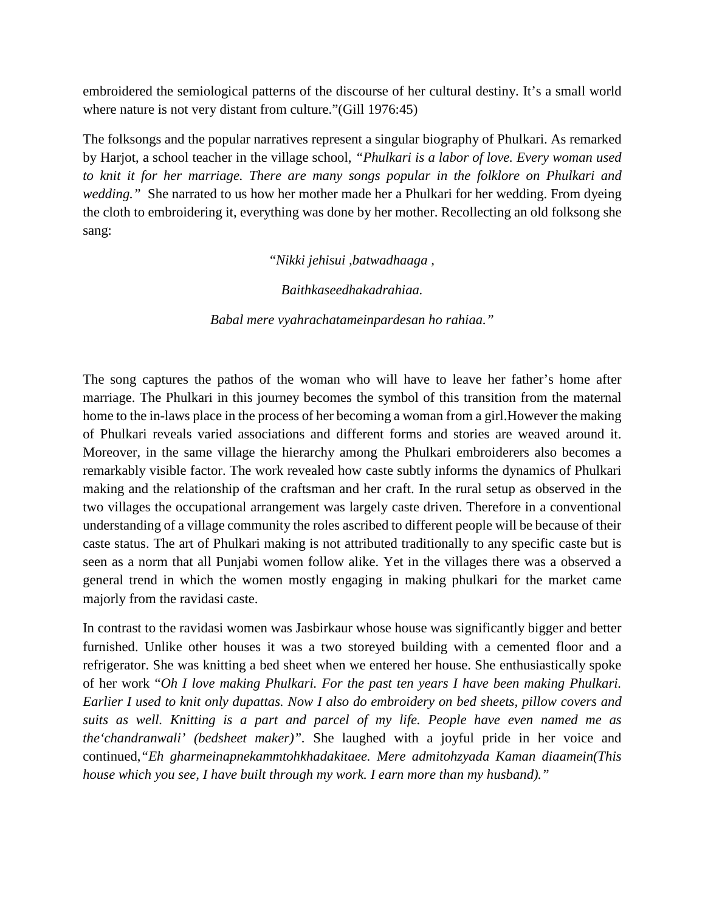embroidered the semiological patterns of the discourse of her cultural destiny. It's a small world where nature is not very distant from culture."(Gill 1976:45)

The folksongs and the popular narratives represent a singular biography of Phulkari. As remarked by Harjot, a school teacher in the village school, *"Phulkari is a labor of love. Every woman used to knit it for her marriage. There are many songs popular in the folklore on Phulkari and wedding.*" She narrated to us how her mother made her a Phulkari for her wedding. From dyeing the cloth to embroidering it, everything was done by her mother. Recollecting an old folksong she sang:

"*Nikki jehisui ,batwadhaaga ,*

*Baithkaseedhakadrahiaa.*

*Babal mere vyahrachatameinpardesan ho rahiaa."*

The song captures the pathos of the woman who will have to leave her father's home after marriage. The Phulkari in this journey becomes the symbol of this transition from the maternal home to the in-laws place in the process of her becoming a woman from a girl.However the making of Phulkari reveals varied associations and different forms and stories are weaved around it. Moreover, in the same village the hierarchy among the Phulkari embroiderers also becomes a remarkably visible factor. The work revealed how caste subtly informs the dynamics of Phulkari making and the relationship of the craftsman and her craft. In the rural setup as observed in the two villages the occupational arrangement was largely caste driven. Therefore in a conventional understanding of a village community the roles ascribed to different people will be because of their caste status. The art of Phulkari making is not attributed traditionally to any specific caste but is seen as a norm that all Punjabi women follow alike. Yet in the villages there was a observed a general trend in which the women mostly engaging in making phulkari for the market came majorly from the ravidasi caste.

In contrast to the ravidasi women was Jasbirkaur whose house was significantly bigger and better furnished. Unlike other houses it was a two storeyed building with a cemented floor and a refrigerator. She was knitting a bed sheet when we entered her house. She enthusiastically spoke of her work "*Oh I love making Phulkari. For the past ten years I have been making Phulkari. Earlier I used to knit only dupattas. Now I also do embroidery on bed sheets, pillow covers and suits as well. Knitting is a part and parcel of my life. People have even named me as the'chandranwali' (bedsheet maker)".* She laughed with a joyful pride in her voice and continued,*"Eh gharmeinapnekammtohkhadakitaee. Mere admitohzyada Kaman diaamein(This house which you see, I have built through my work. I earn more than my husband)."*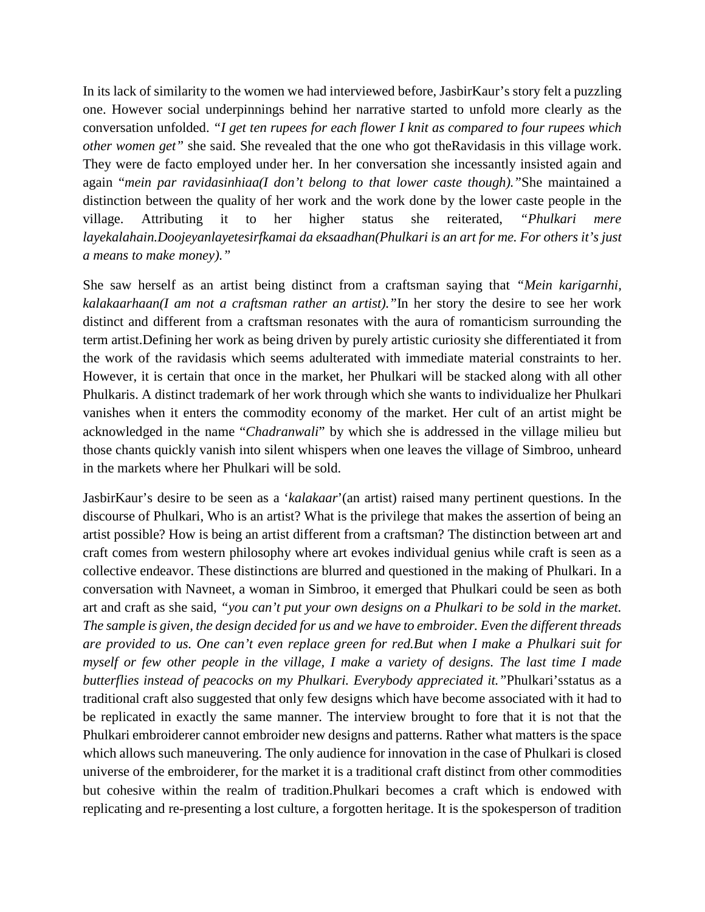In its lack of similarity to the women we had interviewed before, JasbirKaur's story felt a puzzling one. However social underpinnings behind her narrative started to unfold more clearly as the conversation unfolded. *"I get ten rupees for each flower I knit as compared to four rupees which other women get"* she said. She revealed that the one who got theRavidasis in this village work. They were de facto employed under her. In her conversation she incessantly insisted again and again "*mein par ravidasinhiaa(I don't belong to that lower caste though)."*She maintained a distinction between the quality of her work and the work done by the lower caste people in the village. Attributing it to her higher status she reiterated, *"Phulkari mere layekalahain.Doojeyanlayetesirfkamai da eksaadhan(Phulkari is an art for me. For others it's just a means to make money)."*

She saw herself as an artist being distinct from a craftsman saying that *"Mein karigarnhi, kalakaarhaan(I am not a craftsman rather an artist)."*In her story the desire to see her work distinct and different from a craftsman resonates with the aura of romanticism surrounding the term artist.Defining her work as being driven by purely artistic curiosity she differentiated it from the work of the ravidasis which seems adulterated with immediate material constraints to her. However, it is certain that once in the market, her Phulkari will be stacked along with all other Phulkaris. A distinct trademark of her work through which she wants to individualize her Phulkari vanishes when it enters the commodity economy of the market. Her cult of an artist might be acknowledged in the name "*Chadranwali*" by which she is addressed in the village milieu but those chants quickly vanish into silent whispers when one leaves the village of Simbroo, unheard in the markets where her Phulkari will be sold.

JasbirKaur's desire to be seen as a '*kalakaar*'(an artist) raised many pertinent questions. In the discourse of Phulkari, Who is an artist? What is the privilege that makes the assertion of being an artist possible? How is being an artist different from a craftsman? The distinction between art and craft comes from western philosophy where art evokes individual genius while craft is seen as a collective endeavor. These distinctions are blurred and questioned in the making of Phulkari. In a conversation with Navneet, a woman in Simbroo, it emerged that Phulkari could be seen as both art and craft as she said, *"you can't put your own designs on a Phulkari to be sold in the market. The sample is given, the design decided for us and we have to embroider. Even the different threads are provided to us. One can't even replace green for red.But when I make a Phulkari suit for myself or few other people in the village, I make a variety of designs. The last time I made butterflies instead of peacocks on my Phulkari. Everybody appreciated it."*Phulkari'sstatus as a traditional craft also suggested that only few designs which have become associated with it had to be replicated in exactly the same manner. The interview brought to fore that it is not that the Phulkari embroiderer cannot embroider new designs and patterns. Rather what matters is the space which allows such maneuvering. The only audience for innovation in the case of Phulkari is closed universe of the embroiderer, for the market it is a traditional craft distinct from other commodities but cohesive within the realm of tradition.Phulkari becomes a craft which is endowed with replicating and re-presenting a lost culture, a forgotten heritage. It is the spokesperson of tradition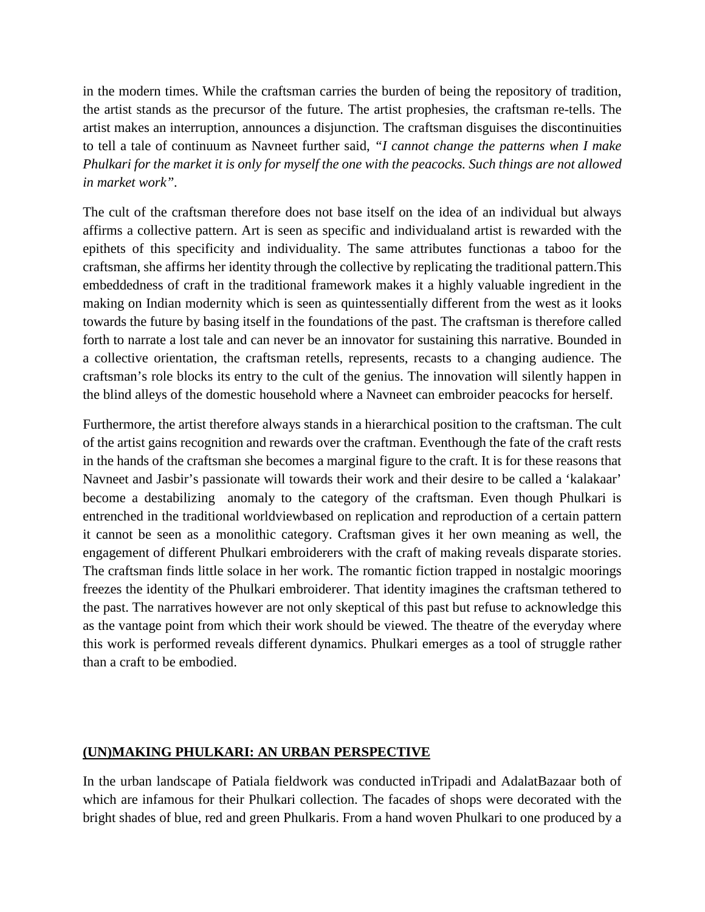in the modern times. While the craftsman carries the burden of being the repository of tradition, the artist stands as the precursor of the future. The artist prophesies, the craftsman re-tells. The artist makes an interruption, announces a disjunction. The craftsman disguises the discontinuities to tell a tale of continuum as Navneet further said, *"I cannot change the patterns when I make Phulkari for the market it is only for myself the one with the peacocks. Such things are not allowed in market work".* 

The cult of the craftsman therefore does not base itself on the idea of an individual but always affirms a collective pattern. Art is seen as specific and individualand artist is rewarded with the epithets of this specificity and individuality. The same attributes functionas a taboo for the craftsman, she affirms her identity through the collective by replicating the traditional pattern.This embeddedness of craft in the traditional framework makes it a highly valuable ingredient in the making on Indian modernity which is seen as quintessentially different from the west as it looks towards the future by basing itself in the foundations of the past. The craftsman is therefore called forth to narrate a lost tale and can never be an innovator for sustaining this narrative. Bounded in a collective orientation, the craftsman retells, represents, recasts to a changing audience. The craftsman's role blocks its entry to the cult of the genius. The innovation will silently happen in the blind alleys of the domestic household where a Navneet can embroider peacocks for herself.

Furthermore, the artist therefore always stands in a hierarchical position to the craftsman. The cult of the artist gains recognition and rewards over the craftman. Eventhough the fate of the craft rests in the hands of the craftsman she becomes a marginal figure to the craft. It is for these reasons that Navneet and Jasbir's passionate will towards their work and their desire to be called a 'kalakaar' become a destabilizing anomaly to the category of the craftsman. Even though Phulkari is entrenched in the traditional worldviewbased on replication and reproduction of a certain pattern it cannot be seen as a monolithic category. Craftsman gives it her own meaning as well, the engagement of different Phulkari embroiderers with the craft of making reveals disparate stories. The craftsman finds little solace in her work. The romantic fiction trapped in nostalgic moorings freezes the identity of the Phulkari embroiderer. That identity imagines the craftsman tethered to the past. The narratives however are not only skeptical of this past but refuse to acknowledge this as the vantage point from which their work should be viewed. The theatre of the everyday where this work is performed reveals different dynamics. Phulkari emerges as a tool of struggle rather than a craft to be embodied.

#### **(UN)MAKING PHULKARI: AN URBAN PERSPECTIVE**

In the urban landscape of Patiala fieldwork was conducted inTripadi and AdalatBazaar both of which are infamous for their Phulkari collection. The facades of shops were decorated with the bright shades of blue, red and green Phulkaris. From a hand woven Phulkari to one produced by a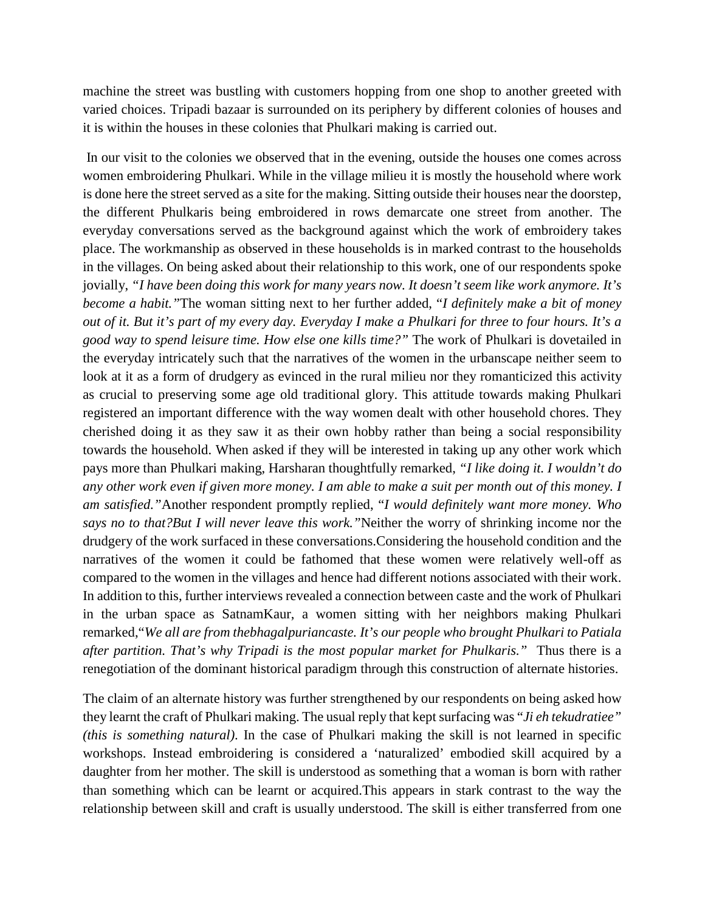machine the street was bustling with customers hopping from one shop to another greeted with varied choices. Tripadi bazaar is surrounded on its periphery by different colonies of houses and it is within the houses in these colonies that Phulkari making is carried out.

In our visit to the colonies we observed that in the evening, outside the houses one comes across women embroidering Phulkari. While in the village milieu it is mostly the household where work is done here the street served as a site for the making. Sitting outside their houses near the doorstep, the different Phulkaris being embroidered in rows demarcate one street from another. The everyday conversations served as the background against which the work of embroidery takes place. The workmanship as observed in these households is in marked contrast to the households in the villages. On being asked about their relationship to this work, one of our respondents spoke jovially, *"I have been doing this work for many years now. It doesn't seem like work anymore. It's become a habit."*The woman sitting next to her further added, "*I definitely make a bit of money out of it. But it's part of my every day. Everyday I make a Phulkari for three to four hours. It's a good way to spend leisure time. How else one kills time?"* The work of Phulkari is dovetailed in the everyday intricately such that the narratives of the women in the urbanscape neither seem to look at it as a form of drudgery as evinced in the rural milieu nor they romanticized this activity as crucial to preserving some age old traditional glory. This attitude towards making Phulkari registered an important difference with the way women dealt with other household chores. They cherished doing it as they saw it as their own hobby rather than being a social responsibility towards the household. When asked if they will be interested in taking up any other work which pays more than Phulkari making, Harsharan thoughtfully remarked, *"I like doing it. I wouldn't do any other work even if given more money. I am able to make a suit per month out of this money. I am satisfied."*Another respondent promptly replied, "*I would definitely want more money. Who says no to that?But I will never leave this work."*Neither the worry of shrinking income nor the drudgery of the work surfaced in these conversations.Considering the household condition and the narratives of the women it could be fathomed that these women were relatively well-off as compared to the women in the villages and hence had different notions associated with their work. In addition to this, further interviews revealed a connection between caste and the work of Phulkari in the urban space as SatnamKaur, a women sitting with her neighbors making Phulkari remarked,"*We all are from thebhagalpuriancaste. It's our people who brought Phulkari to Patiala after partition. That's why Tripadi is the most popular market for Phulkaris."* Thus there is a renegotiation of the dominant historical paradigm through this construction of alternate histories.

The claim of an alternate history was further strengthened by our respondents on being asked how they learnt the craft of Phulkari making. The usual reply that kept surfacing was "*Ji eh tekudratiee" (this is something natural)*. In the case of Phulkari making the skill is not learned in specific workshops. Instead embroidering is considered a 'naturalized' embodied skill acquired by a daughter from her mother. The skill is understood as something that a woman is born with rather than something which can be learnt or acquired.This appears in stark contrast to the way the relationship between skill and craft is usually understood. The skill is either transferred from one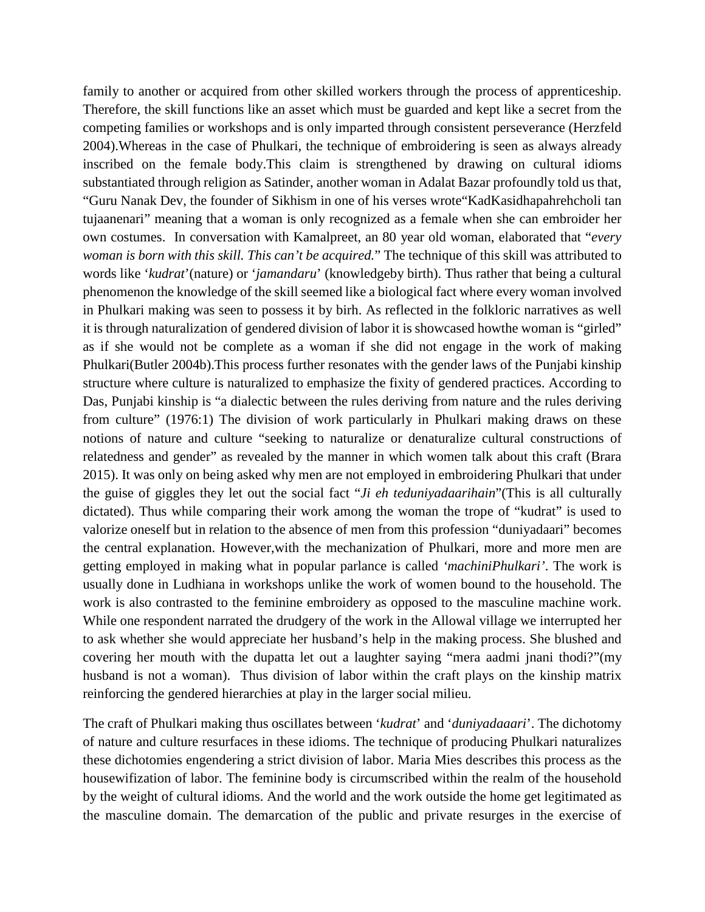family to another or acquired from other skilled workers through the process of apprenticeship. Therefore, the skill functions like an asset which must be guarded and kept like a secret from the competing families or workshops and is only imparted through consistent perseverance (Herzfeld 2004).Whereas in the case of Phulkari, the technique of embroidering is seen as always already inscribed on the female body.This claim is strengthened by drawing on cultural idioms substantiated through religion as Satinder, another woman in Adalat Bazar profoundly told us that, "Guru Nanak Dev, the founder of Sikhism in one of his verses wrote"KadKasidhapahrehcholi tan tujaanenari" meaning that a woman is only recognized as a female when she can embroider her own costumes. In conversation with Kamalpreet, an 80 year old woman, elaborated that "*every woman is born with this skill. This can't be acquired.*" The technique of this skill was attributed to words like '*kudrat*'(nature) or '*jamandaru*' (knowledgeby birth). Thus rather that being a cultural phenomenon the knowledge of the skill seemed like a biological fact where every woman involved in Phulkari making was seen to possess it by birh. As reflected in the folkloric narratives as well it is through naturalization of gendered division of labor it is showcased howthe woman is "girled" as if she would not be complete as a woman if she did not engage in the work of making Phulkari(Butler 2004b).This process further resonates with the gender laws of the Punjabi kinship structure where culture is naturalized to emphasize the fixity of gendered practices. According to Das, Punjabi kinship is "a dialectic between the rules deriving from nature and the rules deriving from culture" (1976:1) The division of work particularly in Phulkari making draws on these notions of nature and culture "seeking to naturalize or denaturalize cultural constructions of relatedness and gender" as revealed by the manner in which women talk about this craft (Brara 2015). It was only on being asked why men are not employed in embroidering Phulkari that under the guise of giggles they let out the social fact "*Ji eh teduniyadaarihain*"(This is all culturally dictated). Thus while comparing their work among the woman the trope of "kudrat" is used to valorize oneself but in relation to the absence of men from this profession "duniyadaari" becomes the central explanation. However,with the mechanization of Phulkari, more and more men are getting employed in making what in popular parlance is called *'machiniPhulkari'*. The work is usually done in Ludhiana in workshops unlike the work of women bound to the household. The work is also contrasted to the feminine embroidery as opposed to the masculine machine work. While one respondent narrated the drudgery of the work in the Allowal village we interrupted her to ask whether she would appreciate her husband's help in the making process. She blushed and covering her mouth with the dupatta let out a laughter saying "mera aadmi jnani thodi?"(my husband is not a woman). Thus division of labor within the craft plays on the kinship matrix reinforcing the gendered hierarchies at play in the larger social milieu.

The craft of Phulkari making thus oscillates between '*kudrat*' and '*duniyadaaari*'. The dichotomy of nature and culture resurfaces in these idioms. The technique of producing Phulkari naturalizes these dichotomies engendering a strict division of labor. Maria Mies describes this process as the housewifization of labor. The feminine body is circumscribed within the realm of the household by the weight of cultural idioms. And the world and the work outside the home get legitimated as the masculine domain. The demarcation of the public and private resurges in the exercise of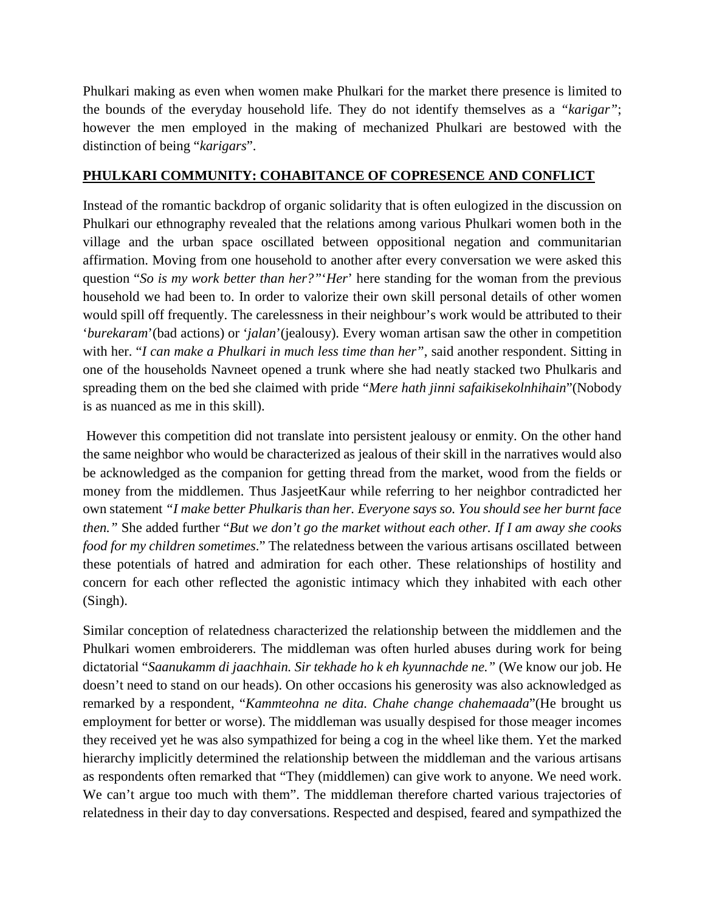Phulkari making as even when women make Phulkari for the market there presence is limited to the bounds of the everyday household life. They do not identify themselves as a *"karigar"*; however the men employed in the making of mechanized Phulkari are bestowed with the distinction of being "*karigars*".

## **PHULKARI COMMUNITY: COHABITANCE OF COPRESENCE AND CONFLICT**

Instead of the romantic backdrop of organic solidarity that is often eulogized in the discussion on Phulkari our ethnography revealed that the relations among various Phulkari women both in the village and the urban space oscillated between oppositional negation and communitarian affirmation. Moving from one household to another after every conversation we were asked this question "*So is my work better than her?"*'*Her*' here standing for the woman from the previous household we had been to. In order to valorize their own skill personal details of other women would spill off frequently. The carelessness in their neighbour's work would be attributed to their '*burekaram*'(bad actions) or '*jalan*'(jealousy). Every woman artisan saw the other in competition with her. "*I can make a Phulkari in much less time than her"*, said another respondent. Sitting in one of the households Navneet opened a trunk where she had neatly stacked two Phulkaris and spreading them on the bed she claimed with pride "*Mere hath jinni safaikisekolnhihain*"(Nobody is as nuanced as me in this skill).

However this competition did not translate into persistent jealousy or enmity. On the other hand the same neighbor who would be characterized as jealous of their skill in the narratives would also be acknowledged as the companion for getting thread from the market, wood from the fields or money from the middlemen. Thus JasjeetKaur while referring to her neighbor contradicted her own statement *"I make better Phulkaris than her. Everyone says so. You should see her burnt face then."* She added further "*But we don't go the market without each other. If I am away she cooks food for my children sometimes*." The relatedness between the various artisans oscillated between these potentials of hatred and admiration for each other. These relationships of hostility and concern for each other reflected the agonistic intimacy which they inhabited with each other (Singh).

Similar conception of relatedness characterized the relationship between the middlemen and the Phulkari women embroiderers. The middleman was often hurled abuses during work for being dictatorial "*Saanukamm di jaachhain. Sir tekhade ho k eh kyunnachde ne."* (We know our job. He doesn't need to stand on our heads). On other occasions his generosity was also acknowledged as remarked by a respondent, "*Kammteohna ne dita. Chahe change chahemaada*"(He brought us employment for better or worse). The middleman was usually despised for those meager incomes they received yet he was also sympathized for being a cog in the wheel like them. Yet the marked hierarchy implicitly determined the relationship between the middleman and the various artisans as respondents often remarked that "They (middlemen) can give work to anyone. We need work. We can't argue too much with them". The middleman therefore charted various trajectories of relatedness in their day to day conversations. Respected and despised, feared and sympathized the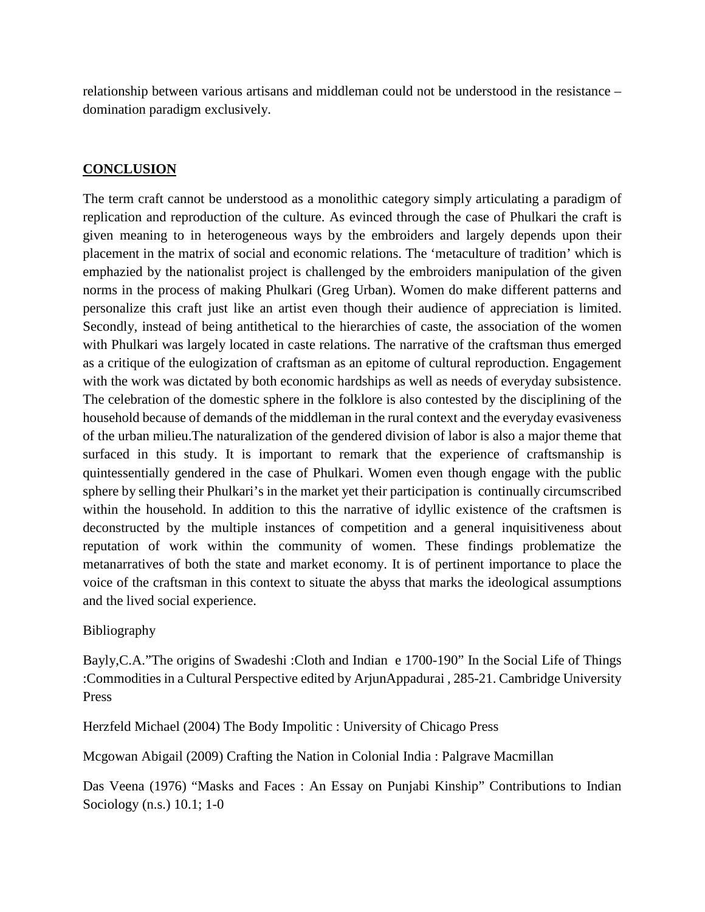relationship between various artisans and middleman could not be understood in the resistance – domination paradigm exclusively.

# **CONCLUSION**

The term craft cannot be understood as a monolithic category simply articulating a paradigm of replication and reproduction of the culture. As evinced through the case of Phulkari the craft is given meaning to in heterogeneous ways by the embroiders and largely depends upon their placement in the matrix of social and economic relations. The 'metaculture of tradition' which is emphazied by the nationalist project is challenged by the embroiders manipulation of the given norms in the process of making Phulkari (Greg Urban). Women do make different patterns and personalize this craft just like an artist even though their audience of appreciation is limited. Secondly, instead of being antithetical to the hierarchies of caste, the association of the women with Phulkari was largely located in caste relations. The narrative of the craftsman thus emerged as a critique of the eulogization of craftsman as an epitome of cultural reproduction. Engagement with the work was dictated by both economic hardships as well as needs of everyday subsistence. The celebration of the domestic sphere in the folklore is also contested by the disciplining of the household because of demands of the middleman in the rural context and the everyday evasiveness of the urban milieu.The naturalization of the gendered division of labor is also a major theme that surfaced in this study. It is important to remark that the experience of craftsmanship is quintessentially gendered in the case of Phulkari. Women even though engage with the public sphere by selling their Phulkari's in the market yet their participation is continually circumscribed within the household. In addition to this the narrative of idyllic existence of the craftsmen is deconstructed by the multiple instances of competition and a general inquisitiveness about reputation of work within the community of women. These findings problematize the metanarratives of both the state and market economy. It is of pertinent importance to place the voice of the craftsman in this context to situate the abyss that marks the ideological assumptions and the lived social experience.

## Bibliography

Bayly,C.A."The origins of Swadeshi :Cloth and Indian e 1700-190" In the Social Life of Things :Commodities in a Cultural Perspective edited by ArjunAppadurai , 285-21. Cambridge University Press

Herzfeld Michael (2004) The Body Impolitic : University of Chicago Press

Mcgowan Abigail (2009) Crafting the Nation in Colonial India : Palgrave Macmillan

Das Veena (1976) "Masks and Faces : An Essay on Punjabi Kinship" Contributions to Indian Sociology (n.s.) 10.1; 1-0